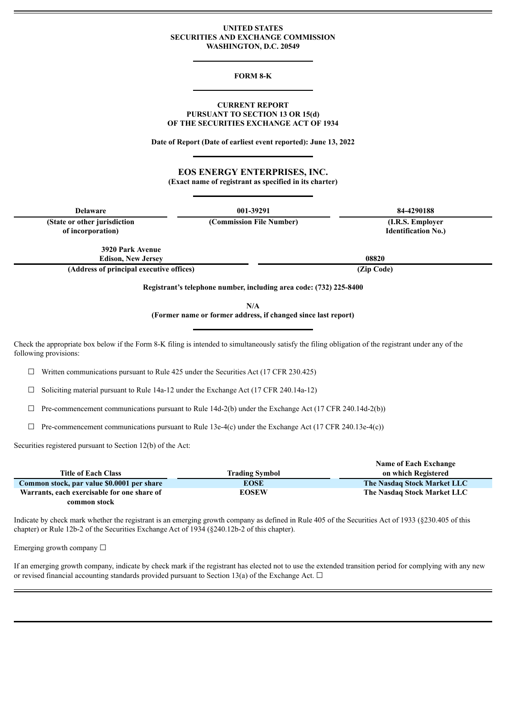#### **UNITED STATES SECURITIES AND EXCHANGE COMMISSION WASHINGTON, D.C. 20549**

#### **FORM 8-K**

#### **CURRENT REPORT PURSUANT TO SECTION 13 OR 15(d) OF THE SECURITIES EXCHANGE ACT OF 1934**

**Date of Report (Date of earliest event reported): June 13, 2022**

**EOS ENERGY ENTERPRISES, INC. (Exact name of registrant as specified in its charter)**

| <b>Delaware</b>                                      | 001-39291                                                          | 84-4290188                                     |  |  |
|------------------------------------------------------|--------------------------------------------------------------------|------------------------------------------------|--|--|
| (State or other jurisdiction)<br>of incorporation)   | (Commission File Number)                                           | (I.R.S. Employer<br><b>Identification No.)</b> |  |  |
| <b>3920 Park Avenue</b><br><b>Edison, New Jersey</b> |                                                                    | 08820                                          |  |  |
| (Address of principal executive offices)             |                                                                    | (Zip Code)                                     |  |  |
|                                                      | Registrant's telephone number, including area code: (732) 225-8400 |                                                |  |  |

**N/A**

**(Former name or former address, if changed since last report)**

Check the appropriate box below if the Form 8-K filing is intended to simultaneously satisfy the filing obligation of the registrant under any of the following provisions:

 $\Box$  Written communications pursuant to Rule 425 under the Securities Act (17 CFR 230.425)

 $\Box$  Soliciting material pursuant to Rule 14a-12 under the Exchange Act (17 CFR 240.14a-12)

 $\Box$  Pre-commencement communications pursuant to Rule 14d-2(b) under the Exchange Act (17 CFR 240.14d-2(b))

 $\Box$  Pre-commencement communications pursuant to Rule 13e-4(c) under the Exchange Act (17 CFR 240.13e-4(c))

Securities registered pursuant to Section 12(b) of the Act:

|                                             |                | <b>Name of Each Exchange</b> |
|---------------------------------------------|----------------|------------------------------|
| <b>Title of Each Class</b>                  | Trading Symbol | on which Registered          |
| Common stock, par value \$0.0001 per share  | <b>EOSE</b>    | The Nasdaq Stock Market LLC  |
| Warrants, each exercisable for one share of | <b>EOSEW</b>   | The Nasdaq Stock Market LLC  |
| common stock                                |                |                              |

Indicate by check mark whether the registrant is an emerging growth company as defined in Rule 405 of the Securities Act of 1933 (§230.405 of this chapter) or Rule 12b-2 of the Securities Exchange Act of 1934 (§240.12b-2 of this chapter).

Emerging growth company  $\Box$ 

If an emerging growth company, indicate by check mark if the registrant has elected not to use the extended transition period for complying with any new or revised financial accounting standards provided pursuant to Section 13(a) of the Exchange Act.  $\Box$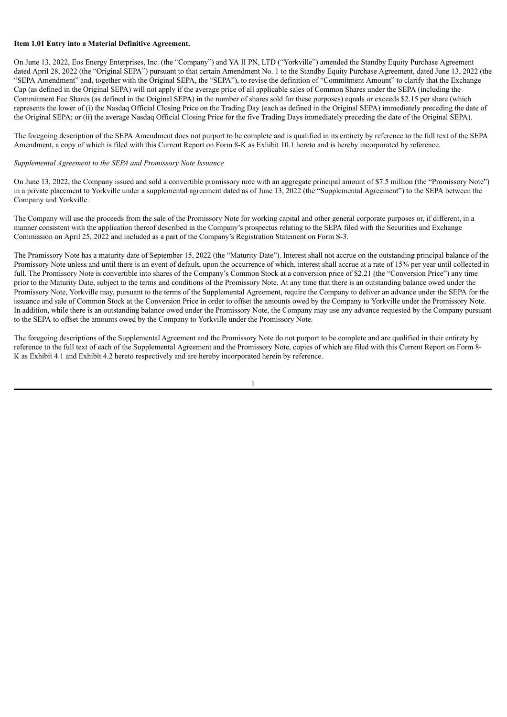#### **Item 1.01 Entry into a Material Definitive Agreement.**

On June 13, 2022, Eos Energy Enterprises, Inc. (the "Company") and YA II PN, LTD ("Yorkville") amended the Standby Equity Purchase Agreement dated April 28, 2022 (the "Original SEPA") pursuant to that certain Amendment No. 1 to the Standby Equity Purchase Agreement, dated June 13, 2022 (the "SEPA Amendment" and, together with the Original SEPA, the "SEPA"), to revise the definition of "Commitment Amount" to clarify that the Exchange Cap (as defined in the Original SEPA) will not apply if the average price of all applicable sales of Common Shares under the SEPA (including the Commitment Fee Shares (as defined in the Original SEPA) in the number of shares sold for these purposes) equals or exceeds \$2.15 per share (which represents the lower of (i) the Nasdaq Official Closing Price on the Trading Day (each as defined in the Original SEPA) immediately preceding the date of the Original SEPA; or (ii) the average Nasdaq Official Closing Price for the five Trading Days immediately preceding the date of the Original SEPA).

The foregoing description of the SEPA Amendment does not purport to be complete and is qualified in its entirety by reference to the full text of the SEPA Amendment, a copy of which is filed with this Current Report on Form 8-K as Exhibit 10.1 hereto and is hereby incorporated by reference.

### *Supplemental Agreement to the SEPA and Promissory Note Issuance*

On June 13, 2022, the Company issued and sold a convertible promissory note with an aggregate principal amount of \$7.5 million (the "Promissory Note") in a private placement to Yorkville under a supplemental agreement dated as of June 13, 2022 (the "Supplemental Agreement") to the SEPA between the Company and Yorkville.

The Company will use the proceeds from the sale of the Promissory Note for working capital and other general corporate purposes or, if different, in a manner consistent with the application thereof described in the Company's prospectus relating to the SEPA filed with the Securities and Exchange Commission on April 25, 2022 and included as a part of the Company's Registration Statement on Form S-3.

The Promissory Note has a maturity date of September 15, 2022 (the "Maturity Date"). Interest shall not accrue on the outstanding principal balance of the Promissory Note unless and until there is an event of default, upon the occurrence of which, interest shall accrue at a rate of 15% per year until collected in full. The Promissory Note is convertible into shares of the Company's Common Stock at a conversion price of \$2.21 (the "Conversion Price") any time prior to the Maturity Date, subject to the terms and conditions of the Promissory Note. At any time that there is an outstanding balance owed under the Promissory Note, Yorkville may, pursuant to the terms of the Supplemental Agreement, require the Company to deliver an advance under the SEPA for the issuance and sale of Common Stock at the Conversion Price in order to offset the amounts owed by the Company to Yorkville under the Promissory Note. In addition, while there is an outstanding balance owed under the Promissory Note, the Company may use any advance requested by the Company pursuant to the SEPA to offset the amounts owed by the Company to Yorkville under the Promissory Note.

The foregoing descriptions of the Supplemental Agreement and the Promissory Note do not purport to be complete and are qualified in their entirety by reference to the full text of each of the Supplemental Agreement and the Promissory Note, copies of which are filed with this Current Report on Form 8- K as Exhibit 4.1 and Exhibit 4.2 hereto respectively and are hereby incorporated herein by reference.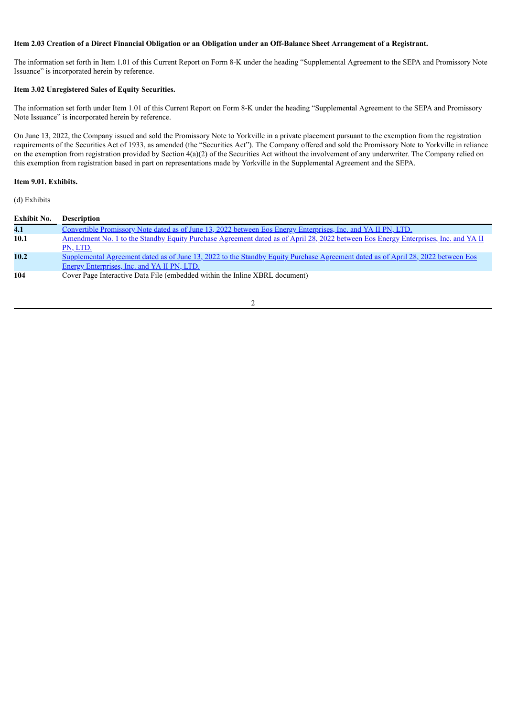### Item 2.03 Creation of a Direct Financial Obligation or an Obligation under an Off-Balance Sheet Arrangement of a Registrant.

The information set forth in Item 1.01 of this Current Report on Form 8-K under the heading "Supplemental Agreement to the SEPA and Promissory Note Issuance" is incorporated herein by reference.

### **Item 3.02 Unregistered Sales of Equity Securities.**

The information set forth under Item 1.01 of this Current Report on Form 8-K under the heading "Supplemental Agreement to the SEPA and Promissory Note Issuance" is incorporated herein by reference.

On June 13, 2022, the Company issued and sold the Promissory Note to Yorkville in a private placement pursuant to the exemption from the registration requirements of the Securities Act of 1933, as amended (the "Securities Act"). The Company offered and sold the Promissory Note to Yorkville in reliance on the exemption from registration provided by Section  $4(a)(2)$  of the Securities Act without the involvement of any underwriter. The Company relied on this exemption from registration based in part on representations made by Yorkville in the Supplemental Agreement and the SEPA.

### **Item 9.01. Exhibits.**

(d) Exhibits

| Exhibit No. | <b>Description</b>                                                                                                                 |
|-------------|------------------------------------------------------------------------------------------------------------------------------------|
| 4.1         | Convertible Promissory Note dated as of June 13, 2022 between Eos Energy Enterprises, Inc. and YA II PN, LTD.                      |
| 10.1        | Amendment No. 1 to the Standby Equity Purchase Agreement dated as of April 28, 2022 between Eos Energy Enterprises, Inc. and YA II |
|             | PN, LTD.                                                                                                                           |
| 10.2        | Supplemental Agreement dated as of June 13, 2022 to the Standby Equity Purchase Agreement dated as of April 28, 2022 between Eos   |
|             | <b>Energy Enterprises, Inc. and YA II PN, LTD.</b>                                                                                 |
| 104         | Cover Page Interactive Data File (embedded within the Inline XBRL document)                                                        |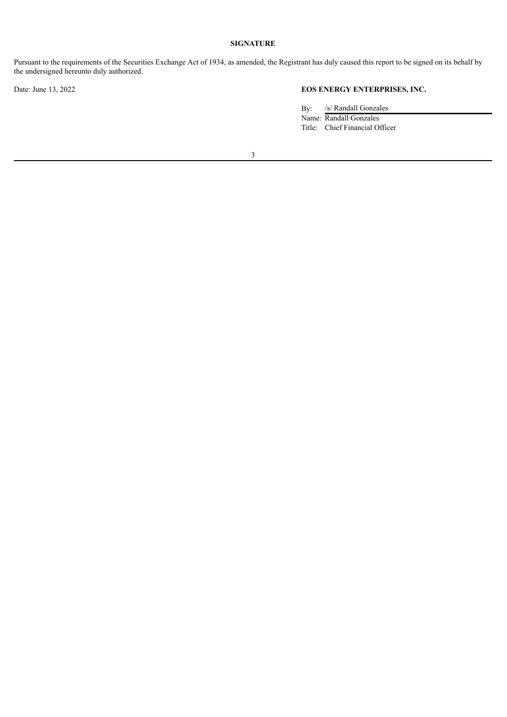### **SIGNATURE**

Pursuant to the requirements of the Securities Exchange Act of 1934, as amended, the Registrant has duly caused this report to be signed on its behalf by the undersigned hereunto duly authorized.

# Date: June 13, 2022 **EOS ENERGY ENTERPRISES, INC.**

By: /s/ Randall Gonzales Name: Randall Gonzales Title: Chief Financial Officer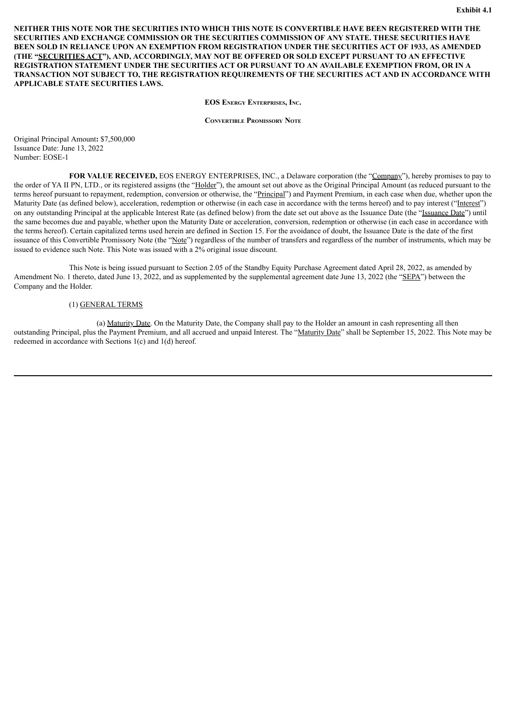<span id="page-4-0"></span>**NEITHER THIS NOTE NOR THE SECURITIES INTO WHICH THIS NOTE IS CONVERTIBLE HAVE BEEN REGISTERED WITH THE SECURITIES AND EXCHANGE COMMISSION OR THE SECURITIES COMMISSION OF ANY STATE. THESE SECURITIES HAVE BEEN SOLD IN RELIANCE UPON AN EXEMPTION FROM REGISTRATION UNDER THE SECURITIES ACT OF 1933, AS AMENDED (THE "SECURITIES ACT"), AND, ACCORDINGLY, MAY NOT BE OFFERED OR SOLD EXCEPT PURSUANT TO AN EFFECTIVE REGISTRATION STATEMENT UNDER THE SECURITIES ACT OR PURSUANT TO AN AVAILABLE EXEMPTION FROM, OR IN A TRANSACTION NOT SUBJECT TO, THE REGISTRATION REQUIREMENTS OF THE SECURITIES ACT AND IN ACCORDANCE WITH APPLICABLE STATE SECURITIES LAWS.**

**EOS Energy Enterprises, Inc.**

**Convertible Promissory Note**

Original Principal Amount**:** \$7,500,000 Issuance Date: June 13, 2022 Number: EOSE-1

**FOR VALUE RECEIVED,** EOS ENERGY ENTERPRISES, INC., a Delaware corporation (the "Company"), hereby promises to pay to the order of YA II PN, LTD., or its registered assigns (the "Holder"), the amount set out above as the Original Principal Amount (as reduced pursuant to the terms hereof pursuant to repayment, redemption, conversion or otherwise, the "Principal") and Payment Premium, in each case when due, whether upon the Maturity Date (as defined below), acceleration, redemption or otherwise (in each case in accordance with the terms hereof) and to pay interest ("Interest") on any outstanding Principal at the applicable Interest Rate (as defined below) from the date set out above as the Issuance Date (the "Issuance Date") until the same becomes due and payable, whether upon the Maturity Date or acceleration, conversion, redemption or otherwise (in each case in accordance with the terms hereof). Certain capitalized terms used herein are defined in Section 15. For the avoidance of doubt, the Issuance Date is the date of the first issuance of this Convertible Promissory Note (the "Note") regardless of the number of transfers and regardless of the number of instruments, which may be issued to evidence such Note. This Note was issued with a 2% original issue discount.

This Note is being issued pursuant to Section 2.05 of the Standby Equity Purchase Agreement dated April 28, 2022, as amended by Amendment No. 1 thereto, dated June 13, 2022, and as supplemented by the supplemental agreement date June 13, 2022 (the "SEPA") between the Company and the Holder.

### (1) GENERAL TERMS

(a) Maturity Date. On the Maturity Date, the Company shall pay to the Holder an amount in cash representing all then outstanding Principal, plus the Payment Premium, and all accrued and unpaid Interest. The "Maturity Date" shall be September 15, 2022. This Note may be redeemed in accordance with Sections 1(c) and 1(d) hereof.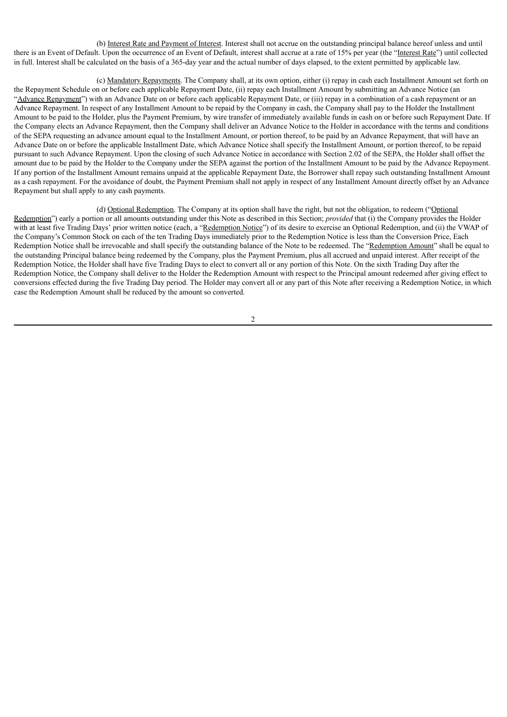(b) Interest Rate and Payment of Interest. Interest shall not accrue on the outstanding principal balance hereof unless and until there is an Event of Default. Upon the occurrence of an Event of Default, interest shall accrue at a rate of 15% per year (the "Interest Rate") until collected in full. Interest shall be calculated on the basis of a 365-day year and the actual number of days elapsed, to the extent permitted by applicable law.

(c) Mandatory Repayments. The Company shall, at its own option, either (i) repay in cash each Installment Amount set forth on the Repayment Schedule on or before each applicable Repayment Date, (ii) repay each Installment Amount by submitting an Advance Notice (an "Advance Repayment") with an Advance Date on or before each applicable Repayment Date, or (iii) repay in a combination of a cash repayment or an Advance Repayment. In respect of any Installment Amount to be repaid by the Company in cash, the Company shall pay to the Holder the Installment Amount to be paid to the Holder, plus the Payment Premium, by wire transfer of immediately available funds in cash on or before such Repayment Date. If the Company elects an Advance Repayment, then the Company shall deliver an Advance Notice to the Holder in accordance with the terms and conditions of the SEPA requesting an advance amount equal to the Installment Amount, or portion thereof, to be paid by an Advance Repayment, that will have an Advance Date on or before the applicable Installment Date, which Advance Notice shall specify the Installment Amount, or portion thereof, to be repaid pursuant to such Advance Repayment. Upon the closing of such Advance Notice in accordance with Section 2.02 of the SEPA, the Holder shall offset the amount due to be paid by the Holder to the Company under the SEPA against the portion of the Installment Amount to be paid by the Advance Repayment. If any portion of the Installment Amount remains unpaid at the applicable Repayment Date, the Borrower shall repay such outstanding Installment Amount as a cash repayment. For the avoidance of doubt, the Payment Premium shall not apply in respect of any Installment Amount directly offset by an Advance Repayment but shall apply to any cash payments.

(d) Optional Redemption. The Company at its option shall have the right, but not the obligation, to redeem ("Optional Redemption") early a portion or all amounts outstanding under this Note as described in this Section; *provided* that (i) the Company provides the Holder with at least five Trading Days' prior written notice (each, a "Redemption Notice") of its desire to exercise an Optional Redemption, and (ii) the VWAP of the Company's Common Stock on each of the ten Trading Days immediately prior to the Redemption Notice is less than the Conversion Price, Each Redemption Notice shall be irrevocable and shall specify the outstanding balance of the Note to be redeemed. The "Redemption Amount" shall be equal to the outstanding Principal balance being redeemed by the Company, plus the Payment Premium, plus all accrued and unpaid interest. After receipt of the Redemption Notice, the Holder shall have five Trading Days to elect to convert all or any portion of this Note. On the sixth Trading Day after the Redemption Notice, the Company shall deliver to the Holder the Redemption Amount with respect to the Principal amount redeemed after giving effect to conversions effected during the five Trading Day period. The Holder may convert all or any part of this Note after receiving a Redemption Notice, in which case the Redemption Amount shall be reduced by the amount so converted.

 $\overline{2}$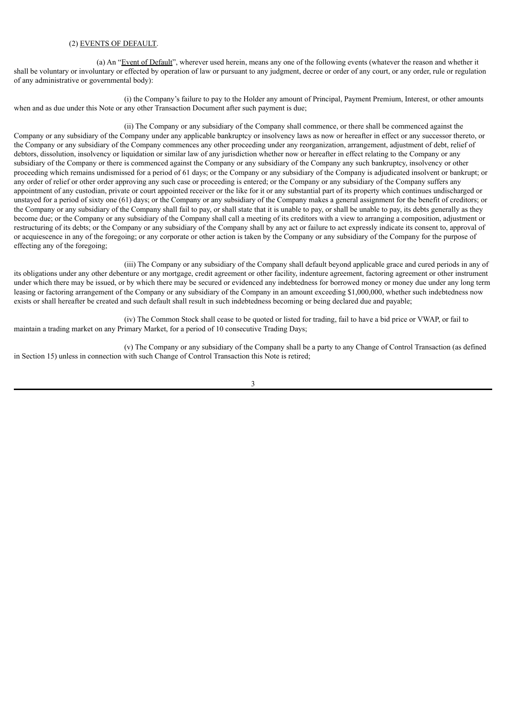#### (2) EVENTS OF DEFAULT.

(a) An "Event of Default", wherever used herein, means any one of the following events (whatever the reason and whether it shall be voluntary or involuntary or effected by operation of law or pursuant to any judgment, decree or order of any court, or any order, rule or regulation of any administrative or governmental body):

(i) the Company's failure to pay to the Holder any amount of Principal, Payment Premium, Interest, or other amounts when and as due under this Note or any other Transaction Document after such payment is due;

(ii) The Company or any subsidiary of the Company shall commence, or there shall be commenced against the Company or any subsidiary of the Company under any applicable bankruptcy or insolvency laws as now or hereafter in effect or any successor thereto, or the Company or any subsidiary of the Company commences any other proceeding under any reorganization, arrangement, adjustment of debt, relief of debtors, dissolution, insolvency or liquidation or similar law of any jurisdiction whether now or hereafter in effect relating to the Company or any subsidiary of the Company or there is commenced against the Company or any subsidiary of the Company any such bankruptcy, insolvency or other proceeding which remains undismissed for a period of 61 days; or the Company or any subsidiary of the Company is adjudicated insolvent or bankrupt; or any order of relief or other order approving any such case or proceeding is entered; or the Company or any subsidiary of the Company suffers any appointment of any custodian, private or court appointed receiver or the like for it or any substantial part of its property which continues undischarged or unstayed for a period of sixty one (61) days; or the Company or any subsidiary of the Company makes a general assignment for the benefit of creditors; or the Company or any subsidiary of the Company shall fail to pay, or shall state that it is unable to pay, or shall be unable to pay, its debts generally as they become due; or the Company or any subsidiary of the Company shall call a meeting of its creditors with a view to arranging a composition, adjustment or restructuring of its debts; or the Company or any subsidiary of the Company shall by any act or failure to act expressly indicate its consent to, approval of or acquiescence in any of the foregoing; or any corporate or other action is taken by the Company or any subsidiary of the Company for the purpose of effecting any of the foregoing;

(iii) The Company or any subsidiary of the Company shall default beyond applicable grace and cured periods in any of its obligations under any other debenture or any mortgage, credit agreement or other facility, indenture agreement, factoring agreement or other instrument under which there may be issued, or by which there may be secured or evidenced any indebtedness for borrowed money or money due under any long term leasing or factoring arrangement of the Company or any subsidiary of the Company in an amount exceeding \$1,000,000, whether such indebtedness now exists or shall hereafter be created and such default shall result in such indebtedness becoming or being declared due and payable;

(iv) The Common Stock shall cease to be quoted or listed for trading, fail to have a bid price or VWAP, or fail to maintain a trading market on any Primary Market, for a period of 10 consecutive Trading Days;

(v) The Company or any subsidiary of the Company shall be a party to any Change of Control Transaction (as defined in Section 15) unless in connection with such Change of Control Transaction this Note is retired;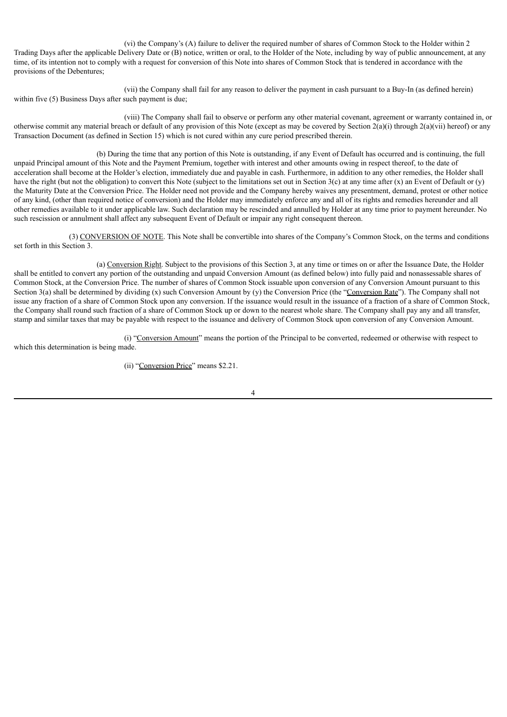(vi) the Company's (A) failure to deliver the required number of shares of Common Stock to the Holder within 2 Trading Days after the applicable Delivery Date or (B) notice, written or oral, to the Holder of the Note, including by way of public announcement, at any time, of its intention not to comply with a request for conversion of this Note into shares of Common Stock that is tendered in accordance with the provisions of the Debentures;

(vii) the Company shall fail for any reason to deliver the payment in cash pursuant to a Buy-In (as defined herein) within five (5) Business Days after such payment is due;

(viii) The Company shall fail to observe or perform any other material covenant, agreement or warranty contained in, or otherwise commit any material breach or default of any provision of this Note (except as may be covered by Section  $2(a)(i)$  through  $2(a)(ii)$  hereof) or any Transaction Document (as defined in Section 15) which is not cured within any cure period prescribed therein.

(b) During the time that any portion of this Note is outstanding, if any Event of Default has occurred and is continuing, the full unpaid Principal amount of this Note and the Payment Premium, together with interest and other amounts owing in respect thereof, to the date of acceleration shall become at the Holder's election, immediately due and payable in cash. Furthermore, in addition to any other remedies, the Holder shall have the right (but not the obligation) to convert this Note (subject to the limitations set out in Section 3(c) at any time after (x) an Event of Default or (y) the Maturity Date at the Conversion Price. The Holder need not provide and the Company hereby waives any presentment, demand, protest or other notice of any kind, (other than required notice of conversion) and the Holder may immediately enforce any and all of its rights and remedies hereunder and all other remedies available to it under applicable law. Such declaration may be rescinded and annulled by Holder at any time prior to payment hereunder. No such rescission or annulment shall affect any subsequent Event of Default or impair any right consequent thereon.

(3) CONVERSION OF NOTE. This Note shall be convertible into shares of the Company's Common Stock, on the terms and conditions set forth in this Section 3.

(a) Conversion Right. Subject to the provisions of this Section 3, at any time or times on or after the Issuance Date, the Holder shall be entitled to convert any portion of the outstanding and unpaid Conversion Amount (as defined below) into fully paid and nonassessable shares of Common Stock, at the Conversion Price. The number of shares of Common Stock issuable upon conversion of any Conversion Amount pursuant to this Section 3(a) shall be determined by dividing  $(x)$  such Conversion Amount by  $(y)$  the Conversion Price (the "Conversion Rate"). The Company shall not issue any fraction of a share of Common Stock upon any conversion. If the issuance would result in the issuance of a fraction of a share of Common Stock, the Company shall round such fraction of a share of Common Stock up or down to the nearest whole share. The Company shall pay any and all transfer, stamp and similar taxes that may be payable with respect to the issuance and delivery of Common Stock upon conversion of any Conversion Amount.

(i) "Conversion Amount" means the portion of the Principal to be converted, redeemed or otherwise with respect to which this determination is being made.

(ii) "Conversion Price" means \$2.21.

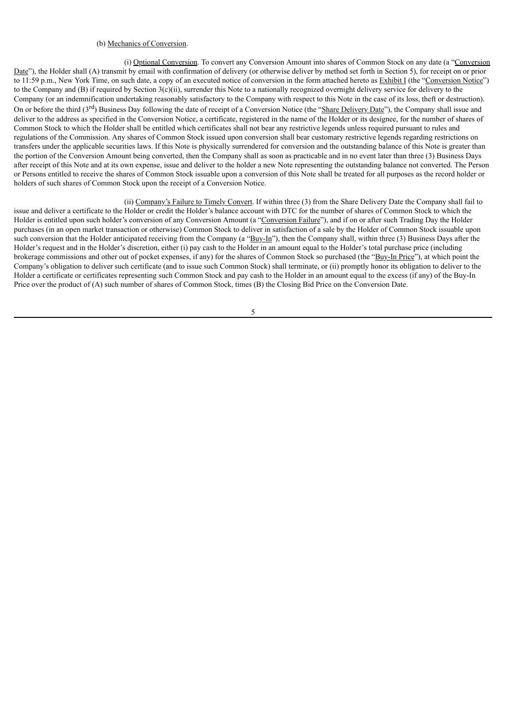### (b) Mechanics of Conversion.

(i) Optional Conversion. To convert any Conversion Amount into shares of Common Stock on any date (a "Conversion Date"), the Holder shall (A) transmit by email with confirmation of delivery (or otherwise deliver by method set forth in Section 5), for receipt on or prior to 11:59 p.m., New York Time, on such date, a copy of an executed notice of conversion in the form attached hereto as Exhibit I (the "Conversion Notice") to the Company and (B) if required by Section  $3(c)$ (ii), surrender this Note to a nationally recognized overnight delivery service for delivery to the Company (or an indemnification undertaking reasonably satisfactory to the Company with respect to this Note in the case of its loss, theft or destruction). On or before the third (3<sup>rd</sup>) Business Day following the date of receipt of a Conversion Notice (the "Share Delivery Date"), the Company shall issue and deliver to the address as specified in the Conversion Notice, a certificate, registered in the name of the Holder or its designee, for the number of shares of Common Stock to which the Holder shall be entitled which certificates shall not bear any restrictive legends unless required pursuant to rules and regulations of the Commission. Any shares of Common Stock issued upon conversion shall bear customary restrictive legends regarding restrictions on transfers under the applicable securities laws. If this Note is physically surrendered for conversion and the outstanding balance of this Note is greater than the portion of the Conversion Amount being converted, then the Company shall as soon as practicable and in no event later than three (3) Business Days after receipt of this Note and at its own expense, issue and deliver to the holder a new Note representing the outstanding balance not converted. The Person or Persons entitled to receive the shares of Common Stock issuable upon a conversion of this Note shall be treated for all purposes as the record holder or holders of such shares of Common Stock upon the receipt of a Conversion Notice.

## (ii) Company's Failure to Timely Convert. If within three (3) from the Share Delivery Date the Company shall fail to

issue and deliver a certificate to the Holder or credit the Holder's balance account with DTC for the number of shares of Common Stock to which the Holder is entitled upon such holder's conversion of any Conversion Amount (a "Conversion Failure"), and if on or after such Trading Day the Holder purchases (in an open market transaction or otherwise) Common Stock to deliver in satisfaction of a sale by the Holder of Common Stock issuable upon such conversion that the Holder anticipated receiving from the Company (a "Buy-In"), then the Company shall, within three (3) Business Days after the Holder's request and in the Holder's discretion, either (i) pay cash to the Holder in an amount equal to the Holder's total purchase price (including brokerage commissions and other out of pocket expenses, if any) for the shares of Common Stock so purchased (the "Buy-In Price"), at which point the Company's obligation to deliver such certificate (and to issue such Common Stock) shall terminate, or (ii) promptly honor its obligation to deliver to the Holder a certificate or certificates representing such Common Stock and pay cash to the Holder in an amount equal to the excess (if any) of the Buy-In Price over the product of (A) such number of shares of Common Stock, times (B) the Closing Bid Price on the Conversion Date.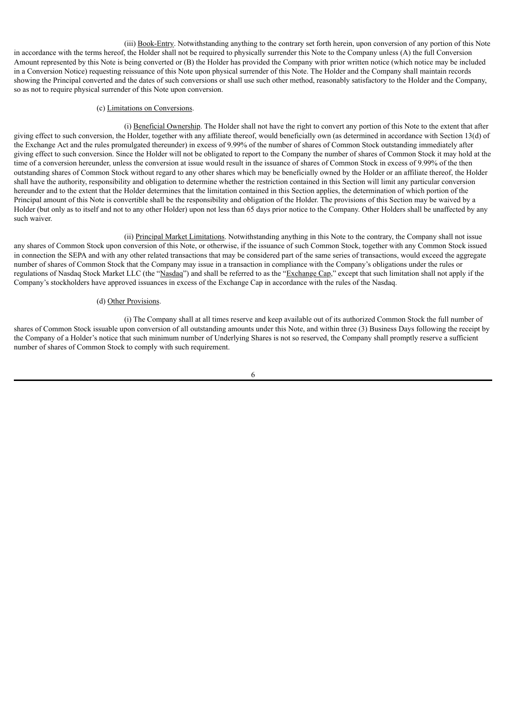(iii) Book-Entry. Notwithstanding anything to the contrary set forth herein, upon conversion of any portion of this Note in accordance with the terms hereof, the Holder shall not be required to physically surrender this Note to the Company unless (A) the full Conversion Amount represented by this Note is being converted or (B) the Holder has provided the Company with prior written notice (which notice may be included in a Conversion Notice) requesting reissuance of this Note upon physical surrender of this Note. The Holder and the Company shall maintain records showing the Principal converted and the dates of such conversions or shall use such other method, reasonably satisfactory to the Holder and the Company, so as not to require physical surrender of this Note upon conversion.

#### (c) Limitations on Conversions.

(i) Beneficial Ownership. The Holder shall not have the right to convert any portion of this Note to the extent that after giving effect to such conversion, the Holder, together with any affiliate thereof, would beneficially own (as determined in accordance with Section 13(d) of the Exchange Act and the rules promulgated thereunder) in excess of 9.99% of the number of shares of Common Stock outstanding immediately after giving effect to such conversion. Since the Holder will not be obligated to report to the Company the number of shares of Common Stock it may hold at the time of a conversion hereunder, unless the conversion at issue would result in the issuance of shares of Common Stock in excess of 9.99% of the then outstanding shares of Common Stock without regard to any other shares which may be beneficially owned by the Holder or an affiliate thereof, the Holder shall have the authority, responsibility and obligation to determine whether the restriction contained in this Section will limit any particular conversion hereunder and to the extent that the Holder determines that the limitation contained in this Section applies, the determination of which portion of the Principal amount of this Note is convertible shall be the responsibility and obligation of the Holder. The provisions of this Section may be waived by a Holder (but only as to itself and not to any other Holder) upon not less than 65 days prior notice to the Company. Other Holders shall be unaffected by any such waiver.

(ii) Principal Market Limitations. Notwithstanding anything in this Note to the contrary, the Company shall not issue any shares of Common Stock upon conversion of this Note, or otherwise, if the issuance of such Common Stock, together with any Common Stock issued in connection the SEPA and with any other related transactions that may be considered part of the same series of transactions, would exceed the aggregate number of shares of Common Stock that the Company may issue in a transaction in compliance with the Company's obligations under the rules or regulations of Nasdaq Stock Market LLC (the "Nasdaq") and shall be referred to as the "Exchange Cap," except that such limitation shall not apply if the Company's stockholders have approved issuances in excess of the Exchange Cap in accordance with the rules of the Nasdaq.

#### (d) Other Provisions.

(i) The Company shall at all times reserve and keep available out of its authorized Common Stock the full number of shares of Common Stock issuable upon conversion of all outstanding amounts under this Note, and within three (3) Business Days following the receipt by the Company of a Holder's notice that such minimum number of Underlying Shares is not so reserved, the Company shall promptly reserve a sufficient number of shares of Common Stock to comply with such requirement.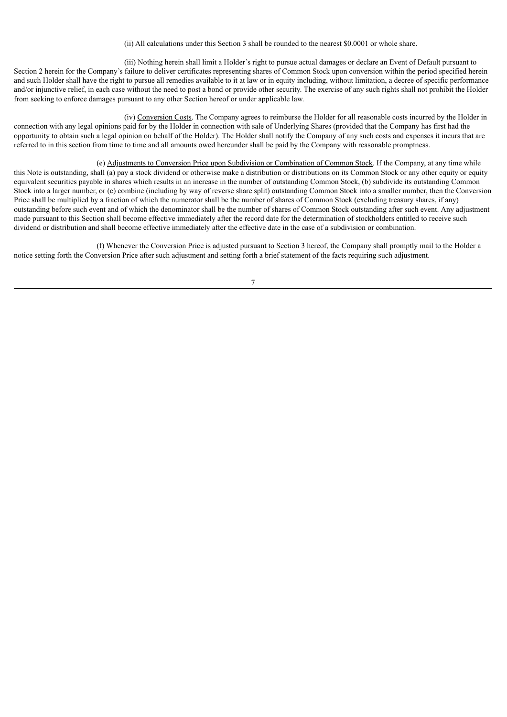(ii) All calculations under this Section 3 shall be rounded to the nearest \$0.0001 or whole share.

(iii) Nothing herein shall limit a Holder's right to pursue actual damages or declare an Event of Default pursuant to Section 2 herein for the Company's failure to deliver certificates representing shares of Common Stock upon conversion within the period specified herein and such Holder shall have the right to pursue all remedies available to it at law or in equity including, without limitation, a decree of specific performance and/or injunctive relief, in each case without the need to post a bond or provide other security. The exercise of any such rights shall not prohibit the Holder from seeking to enforce damages pursuant to any other Section hereof or under applicable law.

(iv) Conversion Costs. The Company agrees to reimburse the Holder for all reasonable costs incurred by the Holder in connection with any legal opinions paid for by the Holder in connection with sale of Underlying Shares (provided that the Company has first had the opportunity to obtain such a legal opinion on behalf of the Holder). The Holder shall notify the Company of any such costs and expenses it incurs that are referred to in this section from time to time and all amounts owed hereunder shall be paid by the Company with reasonable promptness.

(e) Adjustments to Conversion Price upon Subdivision or Combination of Common Stock. If the Company, at any time while this Note is outstanding, shall (a) pay a stock dividend or otherwise make a distribution or distributions on its Common Stock or any other equity or equity equivalent securities payable in shares which results in an increase in the number of outstanding Common Stock, (b) subdivide its outstanding Common Stock into a larger number, or (c) combine (including by way of reverse share split) outstanding Common Stock into a smaller number, then the Conversion Price shall be multiplied by a fraction of which the numerator shall be the number of shares of Common Stock (excluding treasury shares, if any) outstanding before such event and of which the denominator shall be the number of shares of Common Stock outstanding after such event. Any adjustment made pursuant to this Section shall become effective immediately after the record date for the determination of stockholders entitled to receive such dividend or distribution and shall become effective immediately after the effective date in the case of a subdivision or combination.

(f) Whenever the Conversion Price is adjusted pursuant to Section 3 hereof, the Company shall promptly mail to the Holder a notice setting forth the Conversion Price after such adjustment and setting forth a brief statement of the facts requiring such adjustment.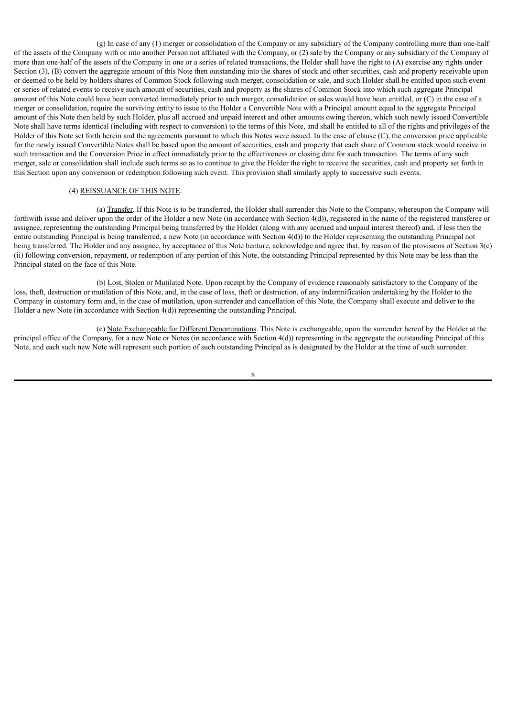(g) In case of any (1) merger or consolidation of the Company or any subsidiary of the Company controlling more than one-half of the assets of the Company with or into another Person not affiliated with the Company, or (2) sale by the Company or any subsidiary of the Company of more than one-half of the assets of the Company in one or a series of related transactions, the Holder shall have the right to (A) exercise any rights under Section (3), (B) convert the aggregate amount of this Note then outstanding into the shares of stock and other securities, cash and property receivable upon or deemed to be held by holders shares of Common Stock following such merger, consolidation or sale, and such Holder shall be entitled upon such event or series of related events to receive such amount of securities, cash and property as the shares of Common Stock into which such aggregate Principal amount of this Note could have been converted immediately prior to such merger, consolidation or sales would have been entitled, or (C) in the case of a merger or consolidation, require the surviving entity to issue to the Holder a Convertible Note with a Principal amount equal to the aggregate Principal amount of this Note then held by such Holder, plus all accrued and unpaid interest and other amounts owing thereon, which such newly issued Convertible Note shall have terms identical (including with respect to conversion) to the terms of this Note, and shall be entitled to all of the rights and privileges of the Holder of this Note set forth herein and the agreements pursuant to which this Notes were issued. In the case of clause (C), the conversion price applicable for the newly issued Convertible Notes shall be based upon the amount of securities, cash and property that each share of Common stock would receive in such transaction and the Conversion Price in effect immediately prior to the effectiveness or closing date for such transaction. The terms of any such merger, sale or consolidation shall include such terms so as to continue to give the Holder the right to receive the securities, cash and property set forth in this Section upon any conversion or redemption following such event. This provision shall similarly apply to successive such events.

#### (4) REISSUANCE OF THIS NOTE.

(a) Transfer. If this Note is to be transferred, the Holder shall surrender this Note to the Company, whereupon the Company will forthwith issue and deliver upon the order of the Holder a new Note (in accordance with Section 4(d)), registered in the name of the registered transferee or assignee, representing the outstanding Principal being transferred by the Holder (along with any accrued and unpaid interest thereof) and, if less then the entire outstanding Principal is being transferred, a new Note (in accordance with Section 4(d)) to the Holder representing the outstanding Principal not being transferred. The Holder and any assignee, by acceptance of this Note benture, acknowledge and agree that, by reason of the provisions of Section 3(c) (ii) following conversion, repayment, or redemption of any portion of this Note, the outstanding Principal represented by this Note may be less than the Principal stated on the face of this Note.

(b) Lost, Stolen or Mutilated Note. Upon receipt by the Company of evidence reasonably satisfactory to the Company of the loss, theft, destruction or mutilation of this Note, and, in the case of loss, theft or destruction, of any indemnification undertaking by the Holder to the Company in customary form and, in the case of mutilation, upon surrender and cancellation of this Note, the Company shall execute and deliver to the Holder a new Note (in accordance with Section 4(d)) representing the outstanding Principal.

(c) Note Exchangeable for Different Denominations. This Note is exchangeable, upon the surrender hereof by the Holder at the principal office of the Company, for a new Note or Notes (in accordance with Section 4(d)) representing in the aggregate the outstanding Principal of this Note, and each such new Note will represent such portion of such outstanding Principal as is designated by the Holder at the time of such surrender.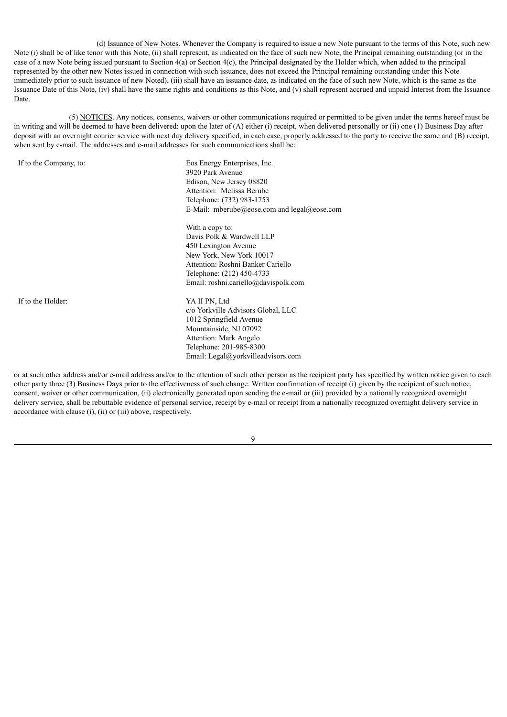(d) Issuance of New Notes. Whenever the Company is required to issue a new Note pursuant to the terms of this Note, such new Note (i) shall be of like tenor with this Note, (ii) shall represent, as indicated on the face of such new Note, the Principal remaining outstanding (or in the case of a new Note being issued pursuant to Section 4(a) or Section 4(c), the Principal designated by the Holder which, when added to the principal represented by the other new Notes issued in connection with such issuance, does not exceed the Principal remaining outstanding under this Note immediately prior to such issuance of new Noted), (iii) shall have an issuance date, as indicated on the face of such new Note, which is the same as the Issuance Date of this Note, (iv) shall have the same rights and conditions as this Note, and (v) shall represent accrued and unpaid Interest from the Issuance Date.

(5) NOTICES. Any notices, consents, waivers or other communications required or permitted to be given under the terms hereof must be in writing and will be deemed to have been delivered: upon the later of  $(A)$  either (i) receipt, when delivered personally or (ii) one (1) Business Day after deposit with an overnight courier service with next day delivery specified, in each case, properly addressed to the party to receive the same and (B) receipt, when sent by e-mail. The addresses and e-mail addresses for such communications shall be:

If to the Company, to: Eos Energy Enterprises, Inc. 3920 Park Avenue Edison, New Jersey 08820 Attention: Melissa Berube Telephone: (732) 983-1753 E-Mail: mberube@eose.com and legal@eose.com

> With a copy to: Davis Polk & Wardwell LLP 450 Lexington Avenue New York, New York 10017 Attention: Roshni Banker Cariello Telephone: (212) 450-4733 Email: roshni.cariello@davispolk.com

If to the Holder: YA II PN, Ltd

c/o Yorkville Advisors Global, LLC 1012 Springfield Avenue Mountainside, NJ 07092 Attention: Mark Angelo Telephone: 201-985-8300 Email: Legal@yorkvilleadvisors.com

or at such other address and/or e-mail address and/or to the attention of such other person as the recipient party has specified by written notice given to each other party three (3) Business Days prior to the effectiveness of such change. Written confirmation of receipt (i) given by the recipient of such notice, consent, waiver or other communication, (ii) electronically generated upon sending the e-mail or (iii) provided by a nationally recognized overnight delivery service, shall be rebuttable evidence of personal service, receipt by e-mail or receipt from a nationally recognized overnight delivery service in accordance with clause (i), (ii) or (iii) above, respectively.

 $\mathbf Q$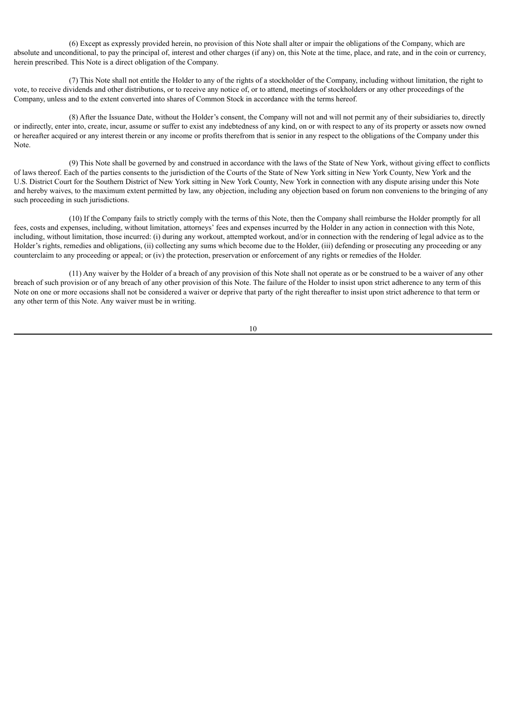(6) Except as expressly provided herein, no provision of this Note shall alter or impair the obligations of the Company, which are absolute and unconditional, to pay the principal of, interest and other charges (if any) on, this Note at the time, place, and rate, and in the coin or currency, herein prescribed. This Note is a direct obligation of the Company.

(7) This Note shall not entitle the Holder to any of the rights of a stockholder of the Company, including without limitation, the right to vote, to receive dividends and other distributions, or to receive any notice of, or to attend, meetings of stockholders or any other proceedings of the Company, unless and to the extent converted into shares of Common Stock in accordance with the terms hereof.

(8) After the Issuance Date, without the Holder's consent, the Company will not and will not permit any of their subsidiaries to, directly or indirectly, enter into, create, incur, assume or suffer to exist any indebtedness of any kind, on or with respect to any of its property or assets now owned or hereafter acquired or any interest therein or any income or profits therefrom that is senior in any respect to the obligations of the Company under this Note.

(9) This Note shall be governed by and construed in accordance with the laws of the State of New York, without giving effect to conflicts of laws thereof. Each of the parties consents to the jurisdiction of the Courts of the State of New York sitting in New York County, New York and the U.S. District Court for the Southern District of New York sitting in New York County, New York in connection with any dispute arising under this Note and hereby waives, to the maximum extent permitted by law, any objection, including any objection based on forum non conveniens to the bringing of any such proceeding in such jurisdictions.

(10) If the Company fails to strictly comply with the terms of this Note, then the Company shall reimburse the Holder promptly for all fees, costs and expenses, including, without limitation, attorneys' fees and expenses incurred by the Holder in any action in connection with this Note, including, without limitation, those incurred: (i) during any workout, attempted workout, and/or in connection with the rendering of legal advice as to the Holder's rights, remedies and obligations, (ii) collecting any sums which become due to the Holder, (iii) defending or prosecuting any proceeding or any counterclaim to any proceeding or appeal; or (iv) the protection, preservation or enforcement of any rights or remedies of the Holder.

(11) Any waiver by the Holder of a breach of any provision of this Note shall not operate as or be construed to be a waiver of any other breach of such provision or of any breach of any other provision of this Note. The failure of the Holder to insist upon strict adherence to any term of this Note on one or more occasions shall not be considered a waiver or deprive that party of the right thereafter to insist upon strict adherence to that term or any other term of this Note. Any waiver must be in writing.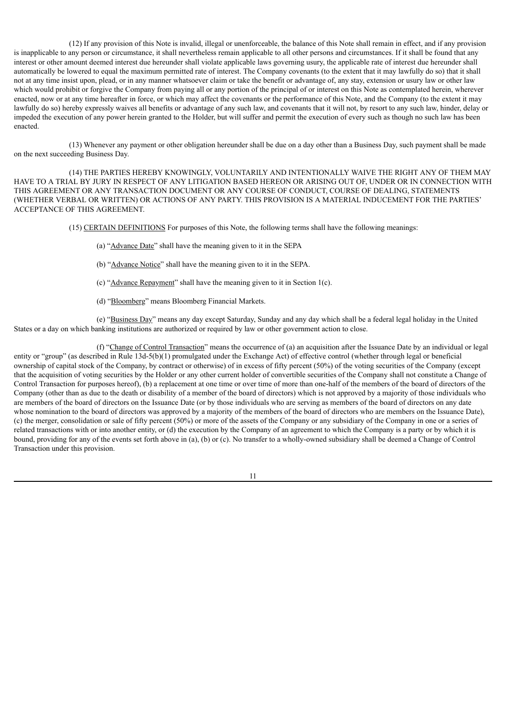(12) If any provision of this Note is invalid, illegal or unenforceable, the balance of this Note shall remain in effect, and if any provision is inapplicable to any person or circumstance, it shall nevertheless remain applicable to all other persons and circumstances. If it shall be found that any interest or other amount deemed interest due hereunder shall violate applicable laws governing usury, the applicable rate of interest due hereunder shall automatically be lowered to equal the maximum permitted rate of interest. The Company covenants (to the extent that it may lawfully do so) that it shall not at any time insist upon, plead, or in any manner whatsoever claim or take the benefit or advantage of, any stay, extension or usury law or other law which would prohibit or forgive the Company from paying all or any portion of the principal of or interest on this Note as contemplated herein, wherever enacted, now or at any time hereafter in force, or which may affect the covenants or the performance of this Note, and the Company (to the extent it may lawfully do so) hereby expressly waives all benefits or advantage of any such law, and covenants that it will not, by resort to any such law, hinder, delay or impeded the execution of any power herein granted to the Holder, but will suffer and permit the execution of every such as though no such law has been enacted.

(13) Whenever any payment or other obligation hereunder shall be due on a day other than a Business Day, such payment shall be made on the next succeeding Business Day.

(14) THE PARTIES HEREBY KNOWINGLY, VOLUNTARILY AND INTENTIONALLY WAIVE THE RIGHT ANY OF THEM MAY HAVE TO A TRIAL BY JURY IN RESPECT OF ANY LITIGATION BASED HEREON OR ARISING OUT OF, UNDER OR IN CONNECTION WITH THIS AGREEMENT OR ANY TRANSACTION DOCUMENT OR ANY COURSE OF CONDUCT, COURSE OF DEALING, STATEMENTS (WHETHER VERBAL OR WRITTEN) OR ACTIONS OF ANY PARTY. THIS PROVISION IS A MATERIAL INDUCEMENT FOR THE PARTIES' ACCEPTANCE OF THIS AGREEMENT.

(15) CERTAIN DEFINITIONS For purposes of this Note, the following terms shall have the following meanings:

- (a) "Advance Date" shall have the meaning given to it in the SEPA
- (b) "Advance Notice" shall have the meaning given to it in the SEPA.
- (c) "Advance Repayment" shall have the meaning given to it in Section 1(c).
- (d) "Bloomberg" means Bloomberg Financial Markets.

(e) "Business Day" means any day except Saturday, Sunday and any day which shall be a federal legal holiday in the United States or a day on which banking institutions are authorized or required by law or other government action to close.

(f) "Change of Control Transaction" means the occurrence of (a) an acquisition after the Issuance Date by an individual or legal entity or "group" (as described in Rule 13d-5(b)(1) promulgated under the Exchange Act) of effective control (whether through legal or beneficial ownership of capital stock of the Company, by contract or otherwise) of in excess of fifty percent (50%) of the voting securities of the Company (except that the acquisition of voting securities by the Holder or any other current holder of convertible securities of the Company shall not constitute a Change of Control Transaction for purposes hereof), (b) a replacement at one time or over time of more than one-half of the members of the board of directors of the Company (other than as due to the death or disability of a member of the board of directors) which is not approved by a majority of those individuals who are members of the board of directors on the Issuance Date (or by those individuals who are serving as members of the board of directors on any date whose nomination to the board of directors was approved by a majority of the members of the board of directors who are members on the Issuance Date), (c) the merger, consolidation or sale of fifty percent (50%) or more of the assets of the Company or any subsidiary of the Company in one or a series of related transactions with or into another entity, or (d) the execution by the Company of an agreement to which the Company is a party or by which it is bound, providing for any of the events set forth above in (a), (b) or (c). No transfer to a wholly-owned subsidiary shall be deemed a Change of Control Transaction under this provision.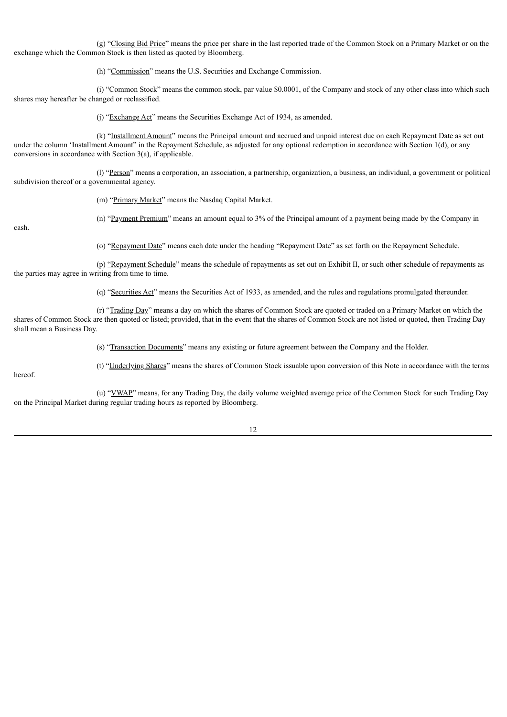(g) "Closing Bid Price" means the price per share in the last reported trade of the Common Stock on a Primary Market or on the exchange which the Common Stock is then listed as quoted by Bloomberg.

(h) "Commission" means the U.S. Securities and Exchange Commission.

(i) "Common Stock" means the common stock, par value \$0.0001, of the Company and stock of any other class into which such shares may hereafter be changed or reclassified.

(j) "Exchange Act" means the Securities Exchange Act of 1934, as amended.

(k) "Installment Amount" means the Principal amount and accrued and unpaid interest due on each Repayment Date as set out under the column 'Installment Amount" in the Repayment Schedule, as adjusted for any optional redemption in accordance with Section 1(d), or any conversions in accordance with Section 3(a), if applicable.

(l) "Person" means a corporation, an association, a partnership, organization, a business, an individual, a government or political subdivision thereof or a governmental agency.

(m) "Primary Market" means the Nasdaq Capital Market.

(n) "Payment Premium" means an amount equal to 3% of the Principal amount of a payment being made by the Company in

cash.

(o) "Repayment Date" means each date under the heading "Repayment Date" as set forth on the Repayment Schedule.

(p) "Repayment Schedule" means the schedule of repayments as set out on Exhibit II, or such other schedule of repayments as the parties may agree in writing from time to time.

(q) "Securities Act" means the Securities Act of 1933, as amended, and the rules and regulations promulgated thereunder.

(r) "Trading Day" means a day on which the shares of Common Stock are quoted or traded on a Primary Market on which the shares of Common Stock are then quoted or listed; provided, that in the event that the shares of Common Stock are not listed or quoted, then Trading Day shall mean a Business Day.

(s) "Transaction Documents" means any existing or future agreement between the Company and the Holder.

(t) "Underlying Shares" means the shares of Common Stock issuable upon conversion of this Note in accordance with the terms

hereof.

(u) "VWAP" means, for any Trading Day, the daily volume weighted average price of the Common Stock for such Trading Day on the Principal Market during regular trading hours as reported by Bloomberg.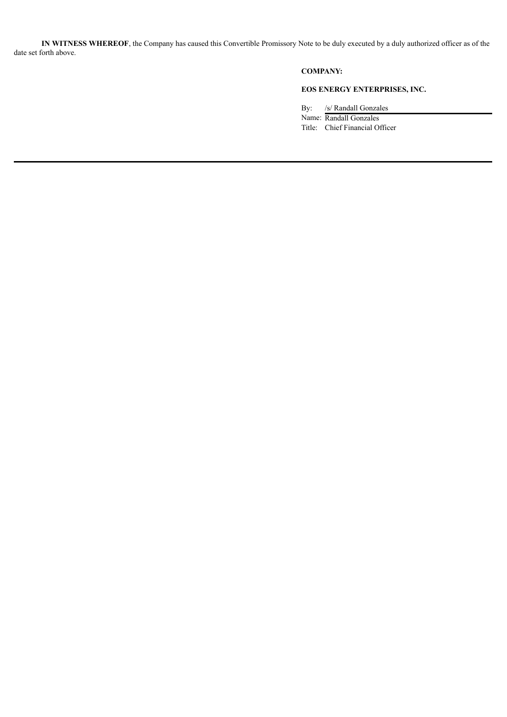**IN WITNESS WHEREOF**, the Company has caused this Convertible Promissory Note to be duly executed by a duly authorized officer as of the date set forth above.

## **COMPANY:**

# **EOS ENERGY ENTERPRISES, INC.**

By: /s/ Randall Gonzales Name: Randall Gonzales Title: Chief Financial Officer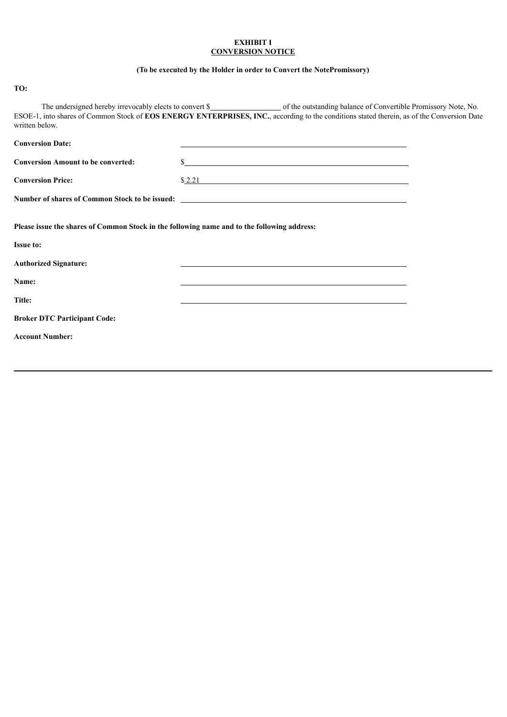### **EXHIBIT I CONVERSION NOTICE**

## **(To be executed by the Holder in order to Convert the NotePromissory)**

# **TO:**

The undersigned hereby irrevocably elects to convert \$ ESOE-1, into shares of Common Stock of **EOS ENERGY ENTERPRISES, INC.**, according to the conditions stated therein, as of the Conversion Date written below.

| <b>Conversion Date:</b>                                                                     |                                                                                   |
|---------------------------------------------------------------------------------------------|-----------------------------------------------------------------------------------|
| <b>Conversion Amount to be converted:</b>                                                   | $S_{-}$                                                                           |
| <b>Conversion Price:</b>                                                                    | \$2.21                                                                            |
|                                                                                             | Number of shares of Common Stock to be issued: __________________________________ |
| Please issue the shares of Common Stock in the following name and to the following address: |                                                                                   |
| <b>Issue to:</b>                                                                            |                                                                                   |
| <b>Authorized Signature:</b>                                                                |                                                                                   |
| <b>Name:</b>                                                                                |                                                                                   |
| Title:                                                                                      |                                                                                   |
| <b>Broker DTC Participant Code:</b>                                                         |                                                                                   |
| <b>Account Number:</b>                                                                      |                                                                                   |
|                                                                                             |                                                                                   |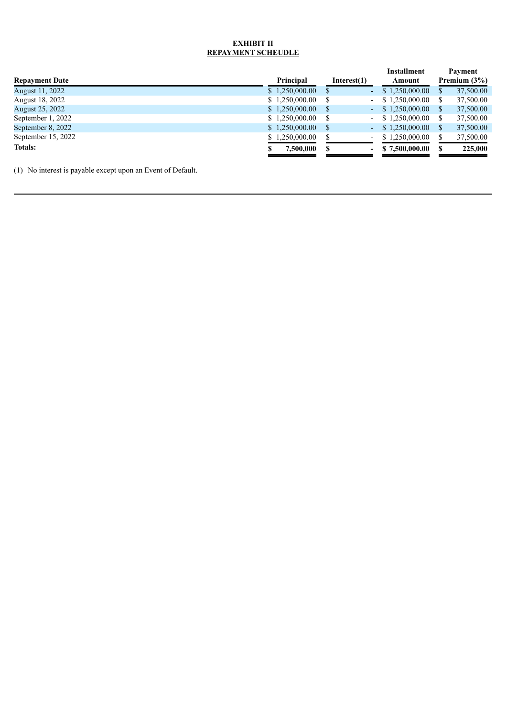## **EXHIBIT II REPAYMENT SCHEUDLE**

|                       |                |                |                          | <b>Installment</b> | Payment         |
|-----------------------|----------------|----------------|--------------------------|--------------------|-----------------|
| <b>Repayment Date</b> | Principal      | Interest $(1)$ |                          | Amount             | Premium $(3\%)$ |
| August 11, 2022       | \$1,250,000.00 | S              | a,                       | \$1,250,000.00     | 37,500.00       |
| August 18, 2022       | \$1,250,000.00 | S              | $\sim$                   | \$1.250,000.00     | 37,500.00       |
| August 25, 2022       | \$1,250,000.00 | S              | $\sim$                   | \$1,250,000.00     | 37,500.00       |
| September 1, 2022     | \$1,250,000.00 | S              | $\overline{\phantom{0}}$ | \$1.250,000.00     | 37,500.00       |
| September 8, 2022     | \$1,250,000.00 | S              | - 1                      | \$1,250,000.00     | 37,500.00       |
| September 15, 2022    | \$1,250,000.00 |                | $\overline{\phantom{a}}$ | \$1.250,000.00     | 37,500.00       |
| <b>Totals:</b>        | 7,500,000      |                | $\overline{\phantom{0}}$ | \$7.500,000.00     | 225,000         |

(1) No interest is payable except upon an Event of Default.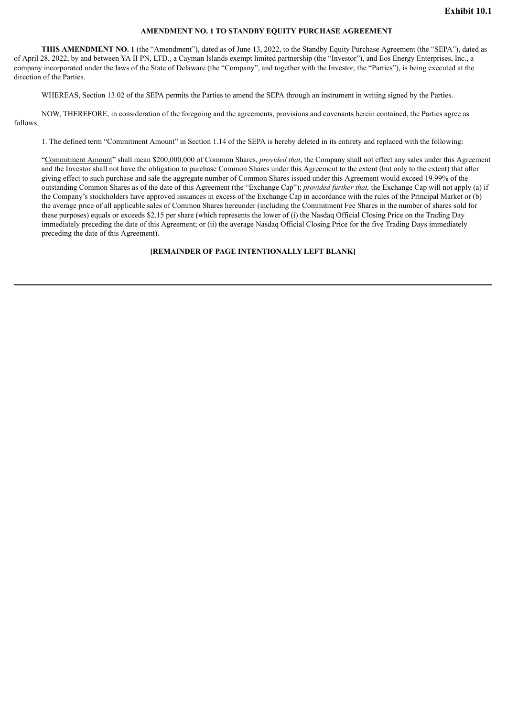#### **AMENDMENT NO. 1 TO STANDBY EQUITY PURCHASE AGREEMENT**

<span id="page-19-0"></span>**THIS AMENDMENT NO. 1** (the "Amendment"), dated as of June 13, 2022, to the Standby Equity Purchase Agreement (the "SEPA"), dated as of April 28, 2022, by and between YA II PN, LTD., a Cayman Islands exempt limited partnership (the "Investor"), and Eos Energy Enterprises, Inc., a company incorporated under the laws of the State of Delaware (the "Company", and together with the Investor, the "Parties"), is being executed at the direction of the Parties.

WHEREAS, Section 13.02 of the SEPA permits the Parties to amend the SEPA through an instrument in writing signed by the Parties.

NOW, THEREFORE, in consideration of the foregoing and the agreements, provisions and covenants herein contained, the Parties agree as follows:

1. The defined term "Commitment Amount" in Section 1.14 of the SEPA is hereby deleted in its entirety and replaced with the following:

"Commitment Amount" shall mean \$200,000,000 of Common Shares, *provided that*, the Company shall not effect any sales under this Agreement and the Investor shall not have the obligation to purchase Common Shares under this Agreement to the extent (but only to the extent) that after giving effect to such purchase and sale the aggregate number of Common Shares issued under this Agreement would exceed 19.99% of the outstanding Common Shares as of the date of this Agreement (the "Exchange Cap"); *provided further that,* the Exchange Cap will not apply (a) if the Company's stockholders have approved issuances in excess of the Exchange Cap in accordance with the rules of the Principal Market or (b) the average price of all applicable sales of Common Shares hereunder (including the Commitment Fee Shares in the number of shares sold for these purposes) equals or exceeds \$2.15 per share (which represents the lower of (i) the Nasdaq Official Closing Price on the Trading Day immediately preceding the date of this Agreement; or (ii) the average Nasdaq Official Closing Price for the five Trading Days immediately preceding the date of this Agreement).

#### **[REMAINDER OF PAGE INTENTIONALLY LEFT BLANK]**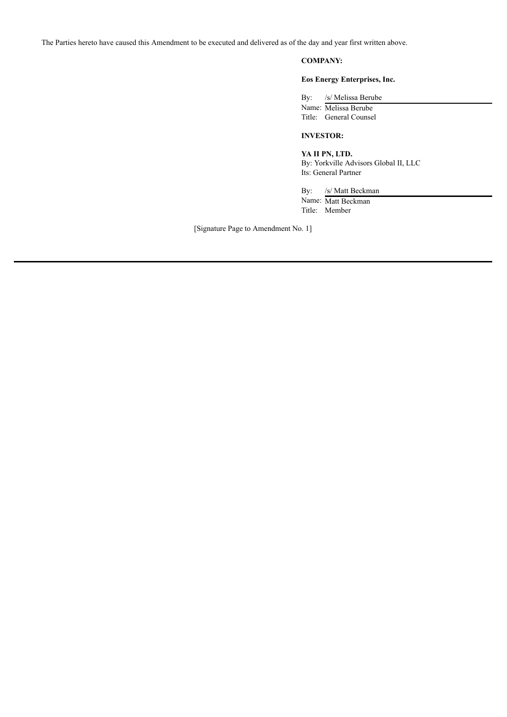The Parties hereto have caused this Amendment to be executed and delivered as of the day and year first written above.

# **COMPANY:**

### **Eos Energy Enterprises, Inc.**

By: /s/ Melissa Berube

Name: Melissa Berube Title: General Counsel

## **INVESTOR:**

**YA II PN, LTD.** By: Yorkville Advisors Global II, LLC

Its: General Partner

By: /s/ Matt Beckman Name: Matt Beckman Title: Member

[Signature Page to Amendment No. 1]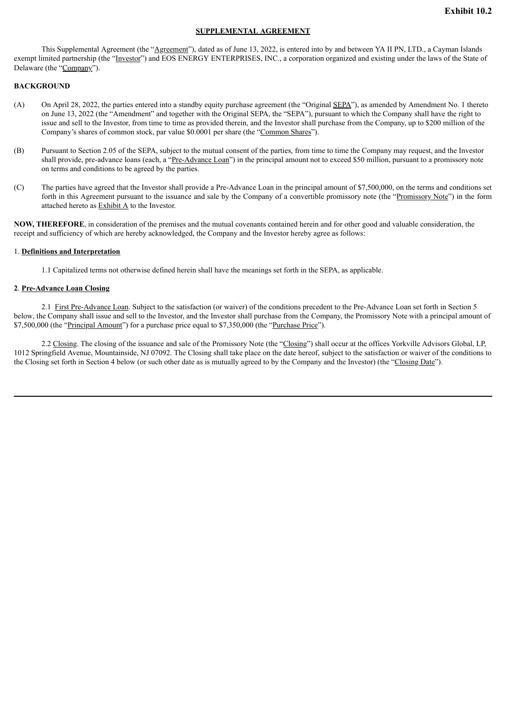#### **SUPPLEMENTAL AGREEMENT**

<span id="page-21-0"></span>This Supplemental Agreement (the "Agreement"), dated as of June 13, 2022, is entered into by and between YA II PN, LTD., a Cayman Islands exempt limited partnership (the "Investor") and EOS ENERGY ENTERPRISES, INC., a corporation organized and existing under the laws of the State of Delaware (the "Company").

#### **BACKGROUND**

- (A) On April 28, 2022, the parties entered into a standby equity purchase agreement (the "Original SEPA"), as amended by Amendment No. 1 thereto on June 13, 2022 (the "Amendment" and together with the Original SEPA, the "SEPA"), pursuant to which the Company shall have the right to issue and sell to the Investor, from time to time as provided therein, and the Investor shall purchase from the Company, up to \$200 million of the Company's shares of common stock, par value \$0.0001 per share (the "Common Shares").
- (B) Pursuant to Section 2.05 of the SEPA, subject to the mutual consent of the parties, from time to time the Company may request, and the Investor shall provide, pre-advance loans (each, a "<u>Pre-Advance Loan</u>") in the principal amount not to exceed \$50 million, pursuant to a promissory note on terms and conditions to be agreed by the parties.
- (C) The parties have agreed that the Investor shall provide a Pre-Advance Loan in the principal amount of \$7,500,000, on the terms and conditions set forth in this Agreement pursuant to the issuance and sale by the Company of a convertible promissory note (the "Promissory Note") in the form attached hereto as Exhibit A to the Investor.

**NOW, THEREFORE**, in consideration of the premises and the mutual covenants contained herein and for other good and valuable consideration, the receipt and sufficiency of which are hereby acknowledged, the Company and the Investor hereby agree as follows:

#### 1. **Definitions and Interpretation**

1.1 Capitalized terms not otherwise defined herein shall have the meanings set forth in the SEPA, as applicable.

#### **2**. **Pre-Advance Loan Closing**

2.1 First Pre-Advance Loan. Subject to the satisfaction (or waiver) of the conditions precedent to the Pre-Advance Loan set forth in Section 5 below, the Company shall issue and sell to the Investor, and the Investor shall purchase from the Company, the Promissory Note with a principal amount of \$7,500,000 (the "Principal Amount") for a purchase price equal to \$7,350,000 (the "Purchase Price").

2.2 Closing. The closing of the issuance and sale of the Promissory Note (the "Closing") shall occur at the offices Yorkville Advisors Global, LP, 1012 Springfield Avenue, Mountainside, NJ 07092. The Closing shall take place on the date hereof, subject to the satisfaction or waiver of the conditions to the Closing set forth in Section 4 below (or such other date as is mutually agreed to by the Company and the Investor) (the "Closing Date").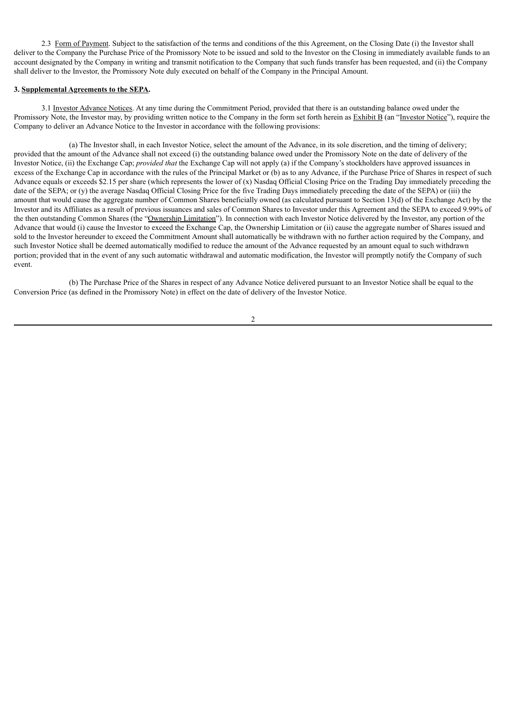2.3 Form of Payment. Subject to the satisfaction of the terms and conditions of the this Agreement, on the Closing Date (i) the Investor shall deliver to the Company the Purchase Price of the Promissory Note to be issued and sold to the Investor on the Closing in immediately available funds to an account designated by the Company in writing and transmit notification to the Company that such funds transfer has been requested, and (ii) the Company shall deliver to the Investor, the Promissory Note duly executed on behalf of the Company in the Principal Amount.

#### **3. Supplemental Agreements to the SEPA.**

3.1 Investor Advance Notices. At any time during the Commitment Period, provided that there is an outstanding balance owed under the Promissory Note, the Investor may, by providing written notice to the Company in the form set forth herein as Exhibit B (an "Investor Notice"), require the Company to deliver an Advance Notice to the Investor in accordance with the following provisions:

(a) The Investor shall, in each Investor Notice, select the amount of the Advance, in its sole discretion, and the timing of delivery; provided that the amount of the Advance shall not exceed (i) the outstanding balance owed under the Promissory Note on the date of delivery of the Investor Notice, (ii) the Exchange Cap; *provided that* the Exchange Cap will not apply (a) if the Company's stockholders have approved issuances in excess of the Exchange Cap in accordance with the rules of the Principal Market or (b) as to any Advance, if the Purchase Price of Shares in respect of such Advance equals or exceeds \$2.15 per share (which represents the lower of  $(x)$  Nasdaq Official Closing Price on the Trading Day immediately preceding the date of the SEPA; or (y) the average Nasdaq Official Closing Price for the five Trading Days immediately preceding the date of the SEPA) or (iii) the amount that would cause the aggregate number of Common Shares beneficially owned (as calculated pursuant to Section 13(d) of the Exchange Act) by the Investor and its Affiliates as a result of previous issuances and sales of Common Shares to Investor under this Agreement and the SEPA to exceed 9.99% of the then outstanding Common Shares (the "Ownership Limitation"). In connection with each Investor Notice delivered by the Investor, any portion of the Advance that would (i) cause the Investor to exceed the Exchange Cap, the Ownership Limitation or (ii) cause the aggregate number of Shares issued and sold to the Investor hereunder to exceed the Commitment Amount shall automatically be withdrawn with no further action required by the Company, and such Investor Notice shall be deemed automatically modified to reduce the amount of the Advance requested by an amount equal to such withdrawn portion; provided that in the event of any such automatic withdrawal and automatic modification, the Investor will promptly notify the Company of such event.

(b) The Purchase Price of the Shares in respect of any Advance Notice delivered pursuant to an Investor Notice shall be equal to the Conversion Price (as defined in the Promissory Note) in effect on the date of delivery of the Investor Notice.

 $\mathfrak{D}$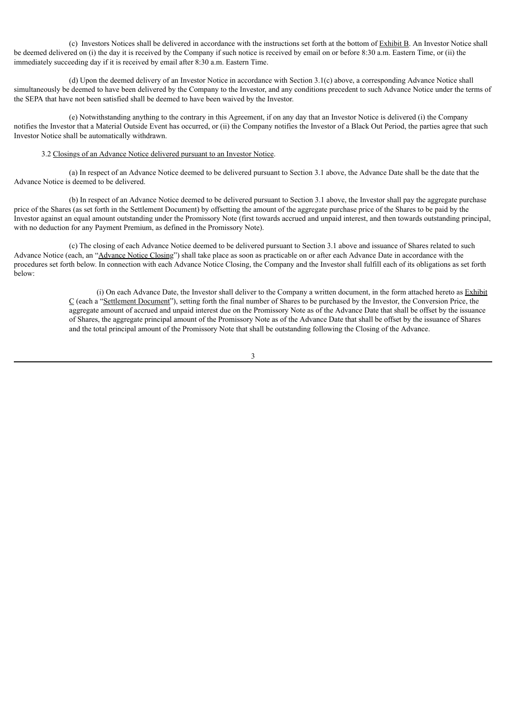(c) Investors Notices shall be delivered in accordance with the instructions set forth at the bottom of Exhibit B. An Investor Notice shall be deemed delivered on (i) the day it is received by the Company if such notice is received by email on or before 8:30 a.m. Eastern Time, or (ii) the immediately succeeding day if it is received by email after 8:30 a.m. Eastern Time.

(d) Upon the deemed delivery of an Investor Notice in accordance with Section 3.1(c) above, a corresponding Advance Notice shall simultaneously be deemed to have been delivered by the Company to the Investor, and any conditions precedent to such Advance Notice under the terms of the SEPA that have not been satisfied shall be deemed to have been waived by the Investor.

(e) Notwithstanding anything to the contrary in this Agreement, if on any day that an Investor Notice is delivered (i) the Company notifies the Investor that a Material Outside Event has occurred, or (ii) the Company notifies the Investor of a Black Out Period, the parties agree that such Investor Notice shall be automatically withdrawn.

#### 3.2 Closings of an Advance Notice delivered pursuant to an Investor Notice.

(a) In respect of an Advance Notice deemed to be delivered pursuant to Section 3.1 above, the Advance Date shall be the date that the Advance Notice is deemed to be delivered.

(b) In respect of an Advance Notice deemed to be delivered pursuant to Section 3.1 above, the Investor shall pay the aggregate purchase price of the Shares (as set forth in the Settlement Document) by offsetting the amount of the aggregate purchase price of the Shares to be paid by the Investor against an equal amount outstanding under the Promissory Note (first towards accrued and unpaid interest, and then towards outstanding principal, with no deduction for any Payment Premium, as defined in the Promissory Note).

(c) The closing of each Advance Notice deemed to be delivered pursuant to Section 3.1 above and issuance of Shares related to such Advance Notice (each, an "Advance Notice Closing") shall take place as soon as practicable on or after each Advance Date in accordance with the procedures set forth below. In connection with each Advance Notice Closing, the Company and the Investor shall fulfill each of its obligations as set forth below:

> (i) On each Advance Date, the Investor shall deliver to the Company a written document, in the form attached hereto as Exhibit C (each a "Settlement Document"), setting forth the final number of Shares to be purchased by the Investor, the Conversion Price, the aggregate amount of accrued and unpaid interest due on the Promissory Note as of the Advance Date that shall be offset by the issuance of Shares, the aggregate principal amount of the Promissory Note as of the Advance Date that shall be offset by the issuance of Shares and the total principal amount of the Promissory Note that shall be outstanding following the Closing of the Advance.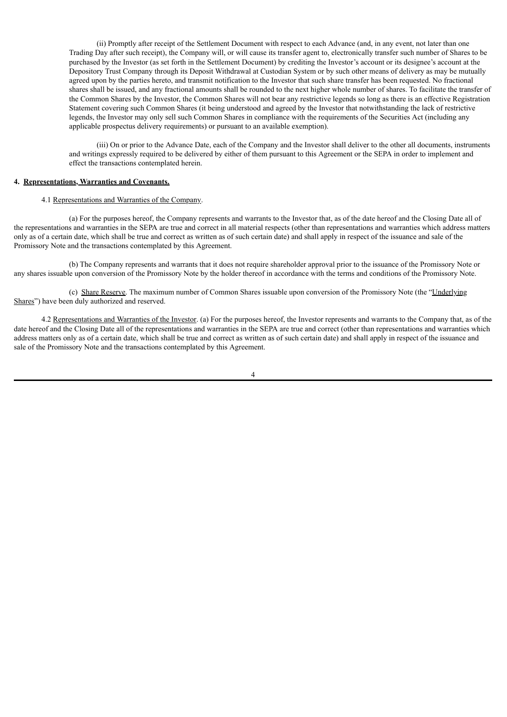(ii) Promptly after receipt of the Settlement Document with respect to each Advance (and, in any event, not later than one Trading Day after such receipt), the Company will, or will cause its transfer agent to, electronically transfer such number of Shares to be purchased by the Investor (as set forth in the Settlement Document) by crediting the Investor's account or its designee's account at the Depository Trust Company through its Deposit Withdrawal at Custodian System or by such other means of delivery as may be mutually agreed upon by the parties hereto, and transmit notification to the Investor that such share transfer has been requested. No fractional shares shall be issued, and any fractional amounts shall be rounded to the next higher whole number of shares. To facilitate the transfer of the Common Shares by the Investor, the Common Shares will not bear any restrictive legends so long as there is an effective Registration Statement covering such Common Shares (it being understood and agreed by the Investor that notwithstanding the lack of restrictive legends, the Investor may only sell such Common Shares in compliance with the requirements of the Securities Act (including any applicable prospectus delivery requirements) or pursuant to an available exemption).

(iii) On or prior to the Advance Date, each of the Company and the Investor shall deliver to the other all documents, instruments and writings expressly required to be delivered by either of them pursuant to this Agreement or the SEPA in order to implement and effect the transactions contemplated herein.

### **4. Representations, Warranties and Covenants.**

### 4.1 Representations and Warranties of the Company.

(a) For the purposes hereof, the Company represents and warrants to the Investor that, as of the date hereof and the Closing Date all of the representations and warranties in the SEPA are true and correct in all material respects (other than representations and warranties which address matters only as of a certain date, which shall be true and correct as written as of such certain date) and shall apply in respect of the issuance and sale of the Promissory Note and the transactions contemplated by this Agreement.

(b) The Company represents and warrants that it does not require shareholder approval prior to the issuance of the Promissory Note or any shares issuable upon conversion of the Promissory Note by the holder thereof in accordance with the terms and conditions of the Promissory Note.

(c) Share Reserve. The maximum number of Common Shares issuable upon conversion of the Promissory Note (the "Underlying Shares") have been duly authorized and reserved.

4.2 Representations and Warranties of the Investor. (a) For the purposes hereof, the Investor represents and warrants to the Company that, as of the date hereof and the Closing Date all of the representations and warranties in the SEPA are true and correct (other than representations and warranties which address matters only as of a certain date, which shall be true and correct as written as of such certain date) and shall apply in respect of the issuance and sale of the Promissory Note and the transactions contemplated by this Agreement.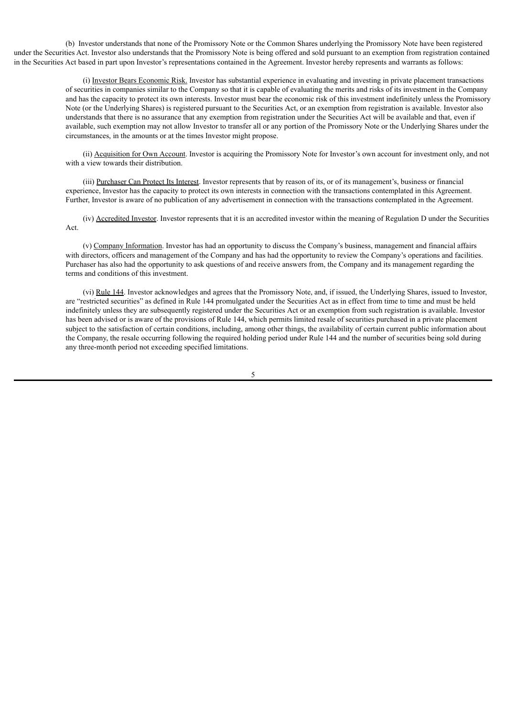(b) Investor understands that none of the Promissory Note or the Common Shares underlying the Promissory Note have been registered under the Securities Act. Investor also understands that the Promissory Note is being offered and sold pursuant to an exemption from registration contained in the Securities Act based in part upon Investor's representations contained in the Agreement. Investor hereby represents and warrants as follows:

> (i) Investor Bears Economic Risk. Investor has substantial experience in evaluating and investing in private placement transactions of securities in companies similar to the Company so that it is capable of evaluating the merits and risks of its investment in the Company and has the capacity to protect its own interests. Investor must bear the economic risk of this investment indefinitely unless the Promissory Note (or the Underlying Shares) is registered pursuant to the Securities Act, or an exemption from registration is available. Investor also understands that there is no assurance that any exemption from registration under the Securities Act will be available and that, even if available, such exemption may not allow Investor to transfer all or any portion of the Promissory Note or the Underlying Shares under the circumstances, in the amounts or at the times Investor might propose.

> (ii) Acquisition for Own Account. Investor is acquiring the Promissory Note for Investor's own account for investment only, and not with a view towards their distribution.

(iii) Purchaser Can Protect Its Interest. Investor represents that by reason of its, or of its management's, business or financial experience, Investor has the capacity to protect its own interests in connection with the transactions contemplated in this Agreement. Further, Investor is aware of no publication of any advertisement in connection with the transactions contemplated in the Agreement.

(iv) Accredited Investor. Investor represents that it is an accredited investor within the meaning of Regulation D under the Securities Act.

(v) Company Information. Investor has had an opportunity to discuss the Company's business, management and financial affairs with directors, officers and management of the Company and has had the opportunity to review the Company's operations and facilities. Purchaser has also had the opportunity to ask questions of and receive answers from, the Company and its management regarding the terms and conditions of this investment.

(vi) Rule 144. Investor acknowledges and agrees that the Promissory Note, and, if issued, the Underlying Shares, issued to Investor, are "restricted securities" as defined in Rule 144 promulgated under the Securities Act as in effect from time to time and must be held indefinitely unless they are subsequently registered under the Securities Act or an exemption from such registration is available. Investor has been advised or is aware of the provisions of Rule 144, which permits limited resale of securities purchased in a private placement subject to the satisfaction of certain conditions, including, among other things, the availability of certain current public information about the Company, the resale occurring following the required holding period under Rule 144 and the number of securities being sold during any three-month period not exceeding specified limitations.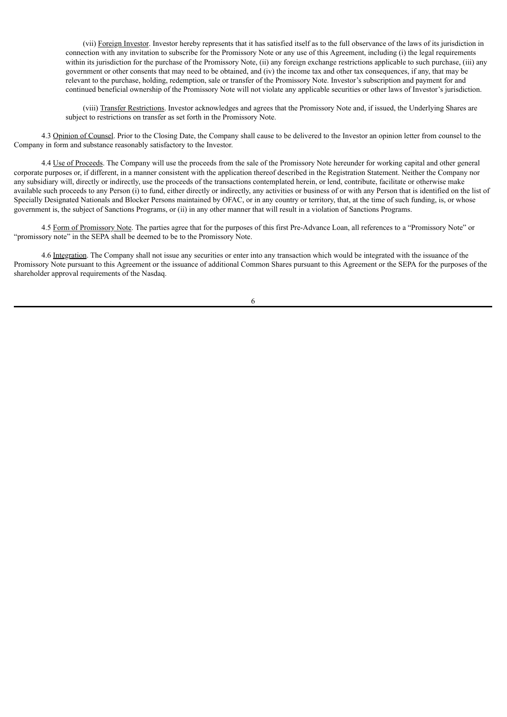(vii) Foreign Investor. Investor hereby represents that it has satisfied itself as to the full observance of the laws of its jurisdiction in connection with any invitation to subscribe for the Promissory Note or any use of this Agreement, including (i) the legal requirements within its jurisdiction for the purchase of the Promissory Note, (ii) any foreign exchange restrictions applicable to such purchase, (iii) any government or other consents that may need to be obtained, and (iv) the income tax and other tax consequences, if any, that may be relevant to the purchase, holding, redemption, sale or transfer of the Promissory Note. Investor's subscription and payment for and continued beneficial ownership of the Promissory Note will not violate any applicable securities or other laws of Investor's jurisdiction.

(viii) Transfer Restrictions. Investor acknowledges and agrees that the Promissory Note and, if issued, the Underlying Shares are subject to restrictions on transfer as set forth in the Promissory Note.

4.3 Opinion of Counsel. Prior to the Closing Date, the Company shall cause to be delivered to the Investor an opinion letter from counsel to the Company in form and substance reasonably satisfactory to the Investor.

4.4 Use of Proceeds. The Company will use the proceeds from the sale of the Promissory Note hereunder for working capital and other general corporate purposes or, if different, in a manner consistent with the application thereof described in the Registration Statement. Neither the Company nor any subsidiary will, directly or indirectly, use the proceeds of the transactions contemplated herein, or lend, contribute, facilitate or otherwise make available such proceeds to any Person (i) to fund, either directly or indirectly, any activities or business of or with any Person that is identified on the list of Specially Designated Nationals and Blocker Persons maintained by OFAC, or in any country or territory, that, at the time of such funding, is, or whose government is, the subject of Sanctions Programs, or (ii) in any other manner that will result in a violation of Sanctions Programs.

4.5 Form of Promissory Note. The parties agree that for the purposes of this first Pre-Advance Loan, all references to a "Promissory Note" or "promissory note" in the SEPA shall be deemed to be to the Promissory Note.

4.6 Integration. The Company shall not issue any securities or enter into any transaction which would be integrated with the issuance of the Promissory Note pursuant to this Agreement or the issuance of additional Common Shares pursuant to this Agreement or the SEPA for the purposes of the shareholder approval requirements of the Nasdaq.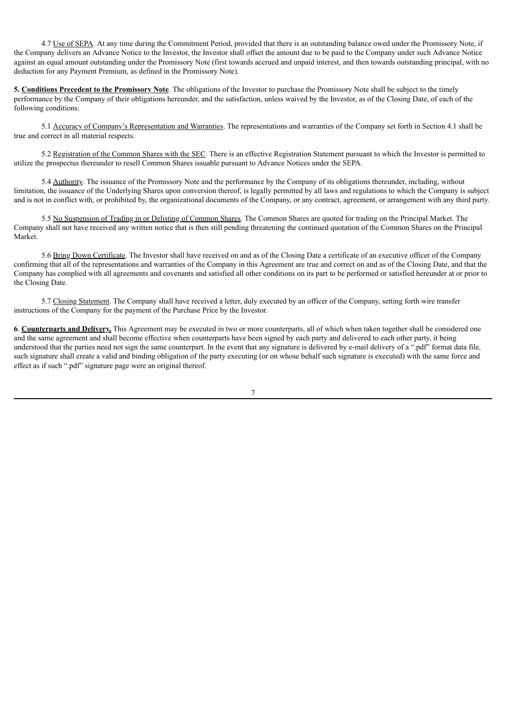4.7 Use of SEPA. At any time during the Commitment Period, provided that there is an outstanding balance owed under the Promissory Note, if the Company delivers an Advance Notice to the Investor, the Investor shall offset the amount due to be paid to the Company under such Advance Notice against an equal amount outstanding under the Promissory Note (first towards accrued and unpaid interest, and then towards outstanding principal, with no deduction for any Payment Premium, as defined in the Promissory Note).

**5. Conditions Precedent to the Promissory Note**. The obligations of the Investor to purchase the Promissory Note shall be subject to the timely performance by the Company of their obligations hereunder, and the satisfaction, unless waived by the Investor, as of the Closing Date, of each of the following conditions:

5.1 Accuracy of Company's Representation and Warranties. The representations and warranties of the Company set forth in Section 4.1 shall be true and correct in all material respects.

5.2 Registration of the Common Shares with the SEC. There is an effective Registration Statement pursuant to which the Investor is permitted to utilize the prospectus thereunder to resell Common Shares issuable pursuant to Advance Notices under the SEPA.

5.4 Authority. The issuance of the Promissory Note and the performance by the Company of its obligations thereunder, including, without limitation, the issuance of the Underlying Shares upon conversion thereof, is legally permitted by all laws and regulations to which the Company is subject and is not in conflict with, or prohibited by, the organizational documents of the Company, or any contract, agreement, or arrangement with any third party.

5.5 No Suspension of Trading in or Delisting of Common Shares. The Common Shares are quoted for trading on the Principal Market. The Company shall not have received any written notice that is then still pending threatening the continued quotation of the Common Shares on the Principal Market.

5.6 Bring Down Certificate. The Investor shall have received on and as of the Closing Date a certificate of an executive officer of the Company confirming that all of the representations and warranties of the Company in this Agreement are true and correct on and as of the Closing Date, and that the Company has complied with all agreements and covenants and satisfied all other conditions on its part to be performed or satisfied hereunder at or prior to the Closing Date.

5.7 Closing Statement. The Company shall have received a letter, duly executed by an officer of the Company, setting forth wire transfer instructions of the Company for the payment of the Purchase Price by the Investor.

**6**. **Counterparts and Delivery.** This Agreement may be executed in two or more counterparts, all of which when taken together shall be considered one and the same agreement and shall become effective when counterparts have been signed by each party and delivered to each other party, it being understood that the parties need not sign the same counterpart. In the event that any signature is delivered by e-mail delivery of a ".pdf" format data file, such signature shall create a valid and binding obligation of the party executing (or on whose behalf such signature is executed) with the same force and effect as if such ".pdf" signature page were an original thereof.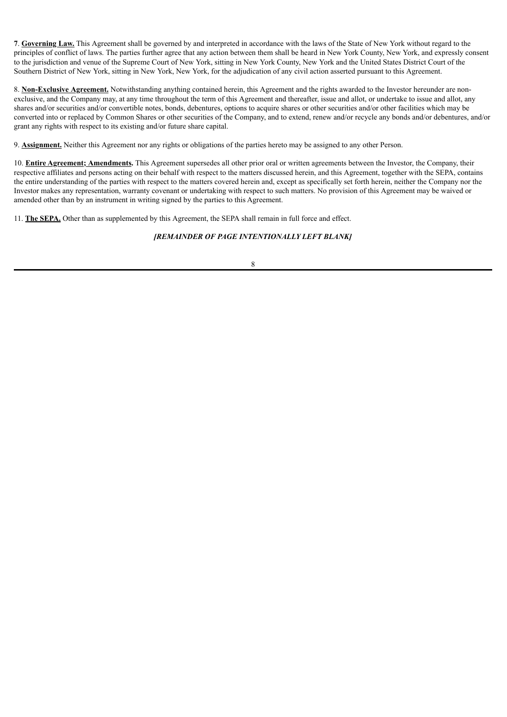**7**. **Governing Law.** This Agreement shall be governed by and interpreted in accordance with the laws of the State of New York without regard to the principles of conflict of laws. The parties further agree that any action between them shall be heard in New York County, New York, and expressly consent to the jurisdiction and venue of the Supreme Court of New York, sitting in New York County, New York and the United States District Court of the Southern District of New York, sitting in New York, New York, for the adjudication of any civil action asserted pursuant to this Agreement.

8. **Non-Exclusive Agreement.** Notwithstanding anything contained herein, this Agreement and the rights awarded to the Investor hereunder are nonexclusive, and the Company may, at any time throughout the term of this Agreement and thereafter, issue and allot, or undertake to issue and allot, any shares and/or securities and/or convertible notes, bonds, debentures, options to acquire shares or other securities and/or other facilities which may be converted into or replaced by Common Shares or other securities of the Company, and to extend, renew and/or recycle any bonds and/or debentures, and/or grant any rights with respect to its existing and/or future share capital.

9. **Assignment.** Neither this Agreement nor any rights or obligations of the parties hereto may be assigned to any other Person.

10. **Entire Agreement; Amendments.** This Agreement supersedes all other prior oral or written agreements between the Investor, the Company, their respective affiliates and persons acting on their behalf with respect to the matters discussed herein, and this Agreement, together with the SEPA, contains the entire understanding of the parties with respect to the matters covered herein and, except as specifically set forth herein, neither the Company nor the Investor makes any representation, warranty covenant or undertaking with respect to such matters. No provision of this Agreement may be waived or amended other than by an instrument in writing signed by the parties to this Agreement.

11. **The SEPA.** Other than as supplemented by this Agreement, the SEPA shall remain in full force and effect.

## *[REMAINDER OF PAGE INTENTIONALLY LEFT BLANK]*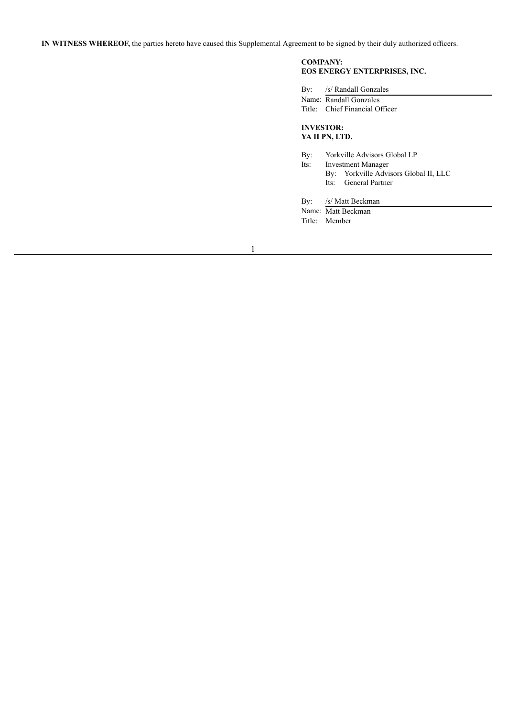**IN WITNESS WHEREOF,** the parties hereto have caused this Supplemental Agreement to be signed by their duly authorized officers.

### **COMPANY: EOS ENERGY ENTERPRISES, INC.**

Name: Matt Beckman Title: Member

|      | By: /s/ Randall Gonzales              |
|------|---------------------------------------|
|      | Name: Randall Gonzales                |
|      | Title: Chief Financial Officer        |
|      | <b>INVESTOR:</b><br>YA II PN, LTD.    |
| By:  | Yorkville Advisors Global LP          |
| Its: | <b>Investment Manager</b>             |
|      | By: Yorkville Advisors Global II, LLC |
|      | Its: General Partner                  |
|      | By: /s/ Matt Beckman                  |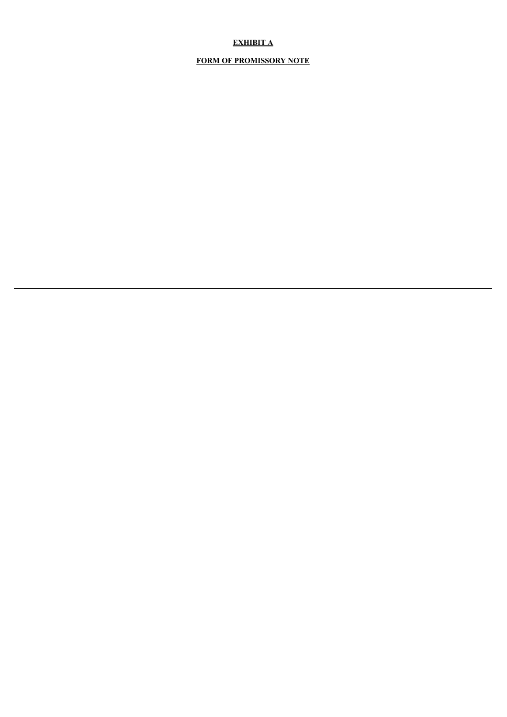# **EXHIBIT A**

## **FORM OF PROMISSORY NOTE**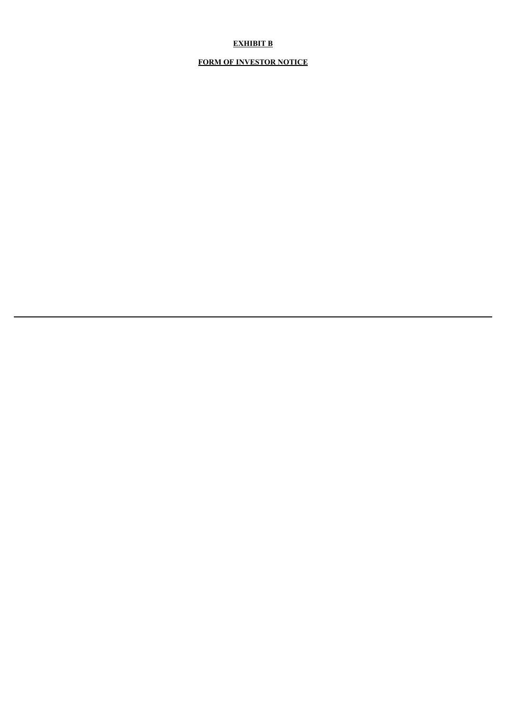# **EXHIBIT B**

# **FORM OF INVESTOR NOTICE**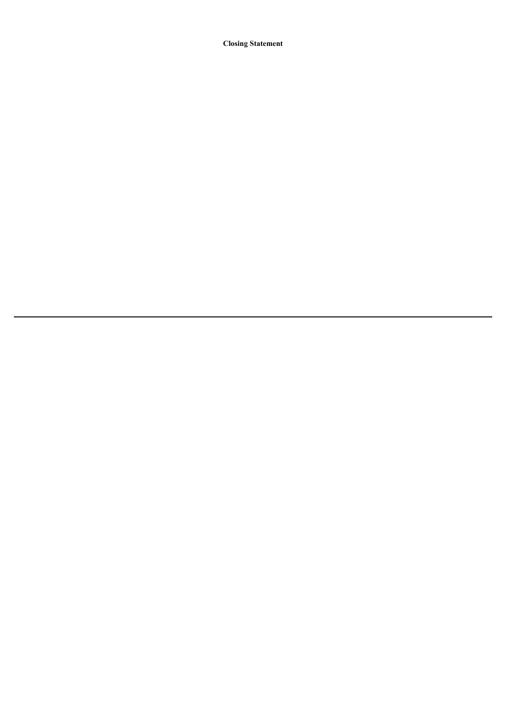**Closing Statement**